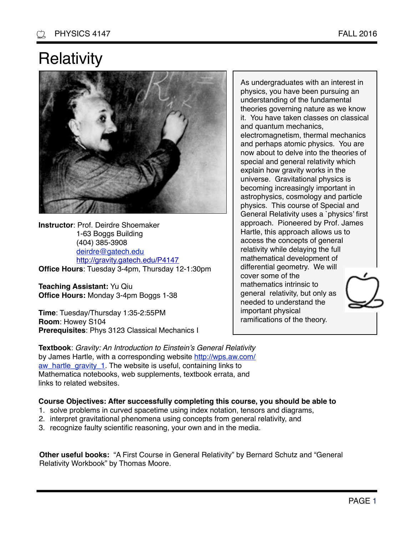## **Relativity**



**Instructor**: Prof. Deirdre Shoemaker 1-63 Boggs Building (404) 385-3908 [deirdre@gatech.edu](mailto:deirdre@gatech.edu) <http://gravity.gatech.edu/P4147> **Office Hours**: Tuesday 3-4pm, Thursday 12-1:30pm

**Teaching Assistant:** Yu Qiu **Office Hours:** Monday 3-4pm Boggs 1-38

**Time**: Tuesday/Thursday 1:35-2:55PM **Room**: Howey S104 **Prerequisites**: Phys 3123 Classical Mechanics I physics, you have been pursuing an understanding of the fundamental theories governing nature as we know it. You have taken classes on classical and quantum mechanics, electromagnetism, thermal mechanics and perhaps atomic physics. You are now about to delve into the theories of special and general relativity which explain how gravity works in the universe. Gravitational physics is becoming increasingly important in astrophysics, cosmology and particle physics. This course of Special and General Relativity uses a `physics' first approach. Pioneered by Prof. James Hartle, this approach allows us to access the concepts of general relativity while delaying the full mathematical development of differential geometry. We will cover some of the mathematics intrinsic to general relativity, but only as needed to understand the

As undergraduates with an interest in

important physical ramifications of the theory.

**Textbook**: *Gravity: An Introduction to Einstein's General Relativity* [by James Hartle, with a corresponding website http://wps.aw.com/](http://wps.aw.com/aw_hartle_gravity_1) aw\_hartle\_gravity\_1. The website is useful, containing links to Mathematica notebooks, web supplements, textbook errata, and links to related websites.

## **Course Objectives: After successfully completing this course, you should be able to**

- 1. solve problems in curved spacetime using index notation, tensors and diagrams,
- 2. interpret gravitational phenomena using concepts from general relativity, and
- 3. recognize faulty scientific reasoning, your own and in the media.

**Other useful books:** "A First Course in General Relativity" by Bernard Schutz and "General Relativity Workbook" by Thomas Moore.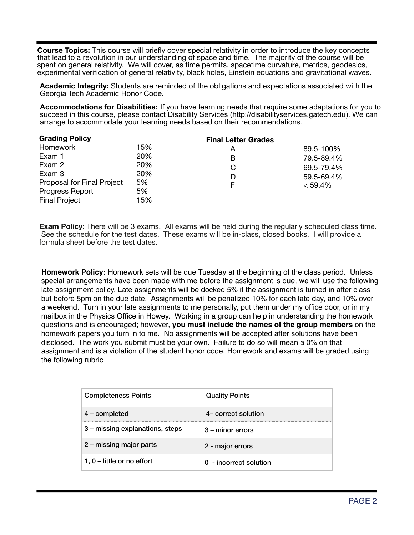**Course Topics:** This course will briefly cover special relativity in order to introduce the key concepts that lead to a revolution in our understanding of space and time. The majority of the course will be spent on general relativity. We will cover, as time permits, spacetime curvature, metrics, geodesics, experimental verification of general relativity, black holes, Einstein equations and gravitational waves.

**Academic Integrity:** Students are reminded of the obligations and expectations associated with the Georgia Tech Academic Honor Code.

**Accommodations for Disabilities:** If you have learning needs that require some adaptations for you to succeed in this course, please contact Disability Services (http://disabilityservices.gatech.edu). We can arrange to accommodate your learning needs based on their recommendations.

| <b>Grading Policy</b>      |     | <b>Final Letter Grades</b> |            |
|----------------------------|-----|----------------------------|------------|
| Homework                   | 15% | Α                          | 89.5-100%  |
| Exam 1                     | 20% | В                          | 79.5-89.4% |
| Exam 2                     | 20% | C                          | 69.5-79.4% |
| Exam 3                     | 20% | D                          | 59.5-69.4% |
| Proposal for Final Project | 5%  | F                          | < 59.4%    |
| Progress Report            | 5%  |                            |            |
| <b>Final Project</b>       | 15% |                            |            |

**Exam Policy**: There will be 3 exams. All exams will be held during the regularly scheduled class time. See the schedule for the test dates. These exams will be in-class, closed books. I will provide a formula sheet before the test dates.

**Homework Policy:** Homework sets will be due Tuesday at the beginning of the class period. Unless special arrangements have been made with me before the assignment is due, we will use the following late assignment policy. Late assignments will be docked 5% if the assignment is turned in after class but before 5pm on the due date. Assignments will be penalized 10% for each late day, and 10% over a weekend. Turn in your late assignments to me personally, put them under my office door, or in my mailbox in the Physics Office in Howey. Working in a group can help in understanding the homework questions and is encouraged; however, **you must include the names of the group members** on the homework papers you turn in to me. No assignments will be accepted after solutions have been disclosed. The work you submit must be your own. Failure to do so will mean a 0% on that assignment and is a violation of the student honor code. Homework and exams will be graded using the following rubric

| <b>Completeness Points</b>      | <b>Quality Points</b>  |
|---------------------------------|------------------------|
| $4$ – completed                 | 4- correct solution    |
| 3 – missing explanations, steps | 3 – minor errors       |
| 2 – missing major parts         | 2 - major errors       |
| 1, $0$ – little or no effort    | 0 - incorrect solution |